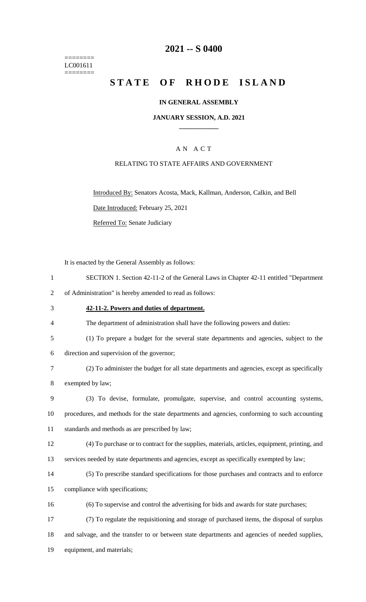======== LC001611  $=$ 

# **-- S 0400**

# **STATE OF RHODE ISLAND**

## **IN GENERAL ASSEMBLY**

### **JANUARY SESSION, A.D. 2021 \_\_\_\_\_\_\_\_\_\_\_\_**

## A N A C T

### RELATING TO STATE AFFAIRS AND GOVERNMENT

Introduced By: Senators Acosta, Mack, Kallman, Anderson, Calkin, and Bell Date Introduced: February 25, 2021 Referred To: Senate Judiciary

It is enacted by the General Assembly as follows:

| $\mathbf{1}$   | SECTION 1. Section 42-11-2 of the General Laws in Chapter 42-11 entitled "Department           |
|----------------|------------------------------------------------------------------------------------------------|
| $\overline{2}$ | of Administration" is hereby amended to read as follows:                                       |
| 3              | 42-11-2. Powers and duties of department.                                                      |
| 4              | The department of administration shall have the following powers and duties:                   |
| 5              | (1) To prepare a budget for the several state departments and agencies, subject to the         |
| 6              | direction and supervision of the governor;                                                     |
| 7              | (2) To administer the budget for all state departments and agencies, except as specifically    |
| 8              | exempted by law;                                                                               |
| 9              | (3) To devise, formulate, promulgate, supervise, and control accounting systems,               |
| 10             | procedures, and methods for the state departments and agencies, conforming to such accounting  |
| 11             | standards and methods as are prescribed by law;                                                |
| 12             | (4) To purchase or to contract for the supplies, materials, articles, equipment, printing, and |
| 13             | services needed by state departments and agencies, except as specifically exempted by law;     |
| 14             | (5) To prescribe standard specifications for those purchases and contracts and to enforce      |
| 15             | compliance with specifications;                                                                |
| 16             | (6) To supervise and control the advertising for bids and awards for state purchases;          |
| 17             | (7) To regulate the requisitioning and storage of purchased items, the disposal of surplus     |
| 18             | and salvage, and the transfer to or between state departments and agencies of needed supplies, |
| 19             | equipment, and materials;                                                                      |
|                |                                                                                                |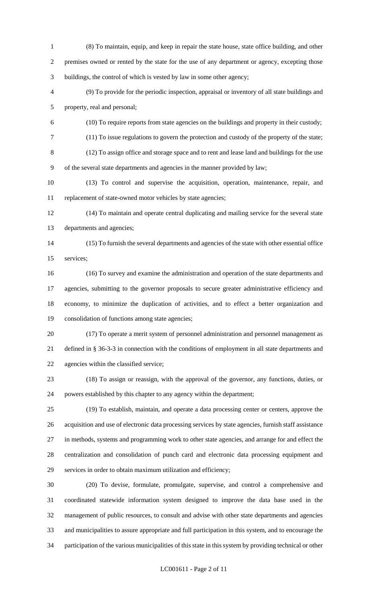- (8) To maintain, equip, and keep in repair the state house, state office building, and other premises owned or rented by the state for the use of any department or agency, excepting those buildings, the control of which is vested by law in some other agency;
- (9) To provide for the periodic inspection, appraisal or inventory of all state buildings and property, real and personal;
- (10) To require reports from state agencies on the buildings and property in their custody;
- (11) To issue regulations to govern the protection and custody of the property of the state;
- (12) To assign office and storage space and to rent and lease land and buildings for the use of the several state departments and agencies in the manner provided by law;
- (13) To control and supervise the acquisition, operation, maintenance, repair, and replacement of state-owned motor vehicles by state agencies;
- (14) To maintain and operate central duplicating and mailing service for the several state departments and agencies;
- (15) To furnish the several departments and agencies of the state with other essential office services;
- (16) To survey and examine the administration and operation of the state departments and agencies, submitting to the governor proposals to secure greater administrative efficiency and economy, to minimize the duplication of activities, and to effect a better organization and consolidation of functions among state agencies;
- (17) To operate a merit system of personnel administration and personnel management as defined in § 36-3-3 in connection with the conditions of employment in all state departments and agencies within the classified service;
- (18) To assign or reassign, with the approval of the governor, any functions, duties, or powers established by this chapter to any agency within the department;
- (19) To establish, maintain, and operate a data processing center or centers, approve the acquisition and use of electronic data processing services by state agencies, furnish staff assistance in methods, systems and programming work to other state agencies, and arrange for and effect the centralization and consolidation of punch card and electronic data processing equipment and services in order to obtain maximum utilization and efficiency;
- (20) To devise, formulate, promulgate, supervise, and control a comprehensive and coordinated statewide information system designed to improve the data base used in the management of public resources, to consult and advise with other state departments and agencies and municipalities to assure appropriate and full participation in this system, and to encourage the participation of the various municipalities of this state in this system by providing technical or other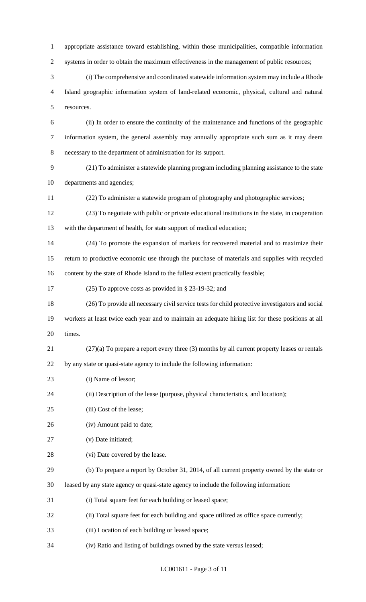appropriate assistance toward establishing, within those municipalities, compatible information 2 systems in order to obtain the maximum effectiveness in the management of public resources; (i) The comprehensive and coordinated statewide information system may include a Rhode Island geographic information system of land-related economic, physical, cultural and natural resources. (ii) In order to ensure the continuity of the maintenance and functions of the geographic information system, the general assembly may annually appropriate such sum as it may deem necessary to the department of administration for its support. (21) To administer a statewide planning program including planning assistance to the state departments and agencies; (22) To administer a statewide program of photography and photographic services; (23) To negotiate with public or private educational institutions in the state, in cooperation with the department of health, for state support of medical education; (24) To promote the expansion of markets for recovered material and to maximize their return to productive economic use through the purchase of materials and supplies with recycled content by the state of Rhode Island to the fullest extent practically feasible; (25) To approve costs as provided in § 23-19-32; and (26) To provide all necessary civil service tests for child protective investigators and social workers at least twice each year and to maintain an adequate hiring list for these positions at all times. (27)(a) To prepare a report every three (3) months by all current property leases or rentals by any state or quasi-state agency to include the following information: 23 (i) Name of lessor; (ii) Description of the lease (purpose, physical characteristics, and location); (iii) Cost of the lease; (iv) Amount paid to date; (v) Date initiated; 28 (vi) Date covered by the lease. (b) To prepare a report by October 31, 2014, of all current property owned by the state or leased by any state agency or quasi-state agency to include the following information: (i) Total square feet for each building or leased space; (ii) Total square feet for each building and space utilized as office space currently; (iii) Location of each building or leased space;

(iv) Ratio and listing of buildings owned by the state versus leased;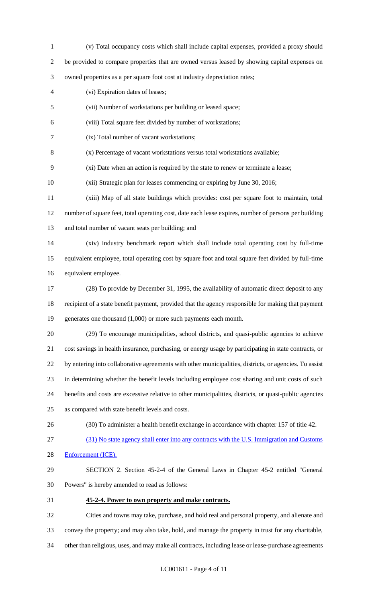(v) Total occupancy costs which shall include capital expenses, provided a proxy should be provided to compare properties that are owned versus leased by showing capital expenses on owned properties as a per square foot cost at industry depreciation rates; (vi) Expiration dates of leases; (vii) Number of workstations per building or leased space; (viii) Total square feet divided by number of workstations; (ix) Total number of vacant workstations; (x) Percentage of vacant workstations versus total workstations available; (xi) Date when an action is required by the state to renew or terminate a lease; (xii) Strategic plan for leases commencing or expiring by June 30, 2016; (xiii) Map of all state buildings which provides: cost per square foot to maintain, total number of square feet, total operating cost, date each lease expires, number of persons per building and total number of vacant seats per building; and (xiv) Industry benchmark report which shall include total operating cost by full-time equivalent employee, total operating cost by square foot and total square feet divided by full-time equivalent employee. (28) To provide by December 31, 1995, the availability of automatic direct deposit to any recipient of a state benefit payment, provided that the agency responsible for making that payment 19 generates one thousand (1,000) or more such payments each month. (29) To encourage municipalities, school districts, and quasi-public agencies to achieve cost savings in health insurance, purchasing, or energy usage by participating in state contracts, or by entering into collaborative agreements with other municipalities, districts, or agencies. To assist in determining whether the benefit levels including employee cost sharing and unit costs of such benefits and costs are excessive relative to other municipalities, districts, or quasi-public agencies as compared with state benefit levels and costs. (30) To administer a health benefit exchange in accordance with chapter 157 of title 42. (31) No state agency shall enter into any contracts with the U.S. Immigration and Customs Enforcement (ICE). SECTION 2. Section 45-2-4 of the General Laws in Chapter 45-2 entitled "General Powers" is hereby amended to read as follows: **45-2-4. Power to own property and make contracts.** Cities and towns may take, purchase, and hold real and personal property, and alienate and convey the property; and may also take, hold, and manage the property in trust for any charitable, other than religious, uses, and may make all contracts, including lease or lease-purchase agreements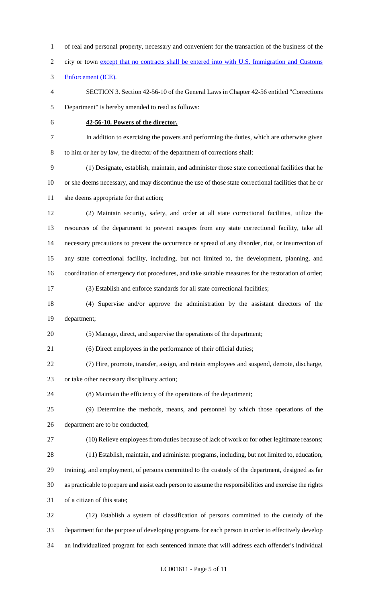of real and personal property, necessary and convenient for the transaction of the business of the 2 city or town except that no contracts shall be entered into with U.S. Immigration and Customs Enforcement (ICE). SECTION 3. Section 42-56-10 of the General Laws in Chapter 42-56 entitled "Corrections Department" is hereby amended to read as follows: **42-56-10. Powers of the director.** In addition to exercising the powers and performing the duties, which are otherwise given to him or her by law, the director of the department of corrections shall: (1) Designate, establish, maintain, and administer those state correctional facilities that he or she deems necessary, and may discontinue the use of those state correctional facilities that he or 11 she deems appropriate for that action; (2) Maintain security, safety, and order at all state correctional facilities, utilize the resources of the department to prevent escapes from any state correctional facility, take all necessary precautions to prevent the occurrence or spread of any disorder, riot, or insurrection of any state correctional facility, including, but not limited to, the development, planning, and coordination of emergency riot procedures, and take suitable measures for the restoration of order; (3) Establish and enforce standards for all state correctional facilities; (4) Supervise and/or approve the administration by the assistant directors of the department; (5) Manage, direct, and supervise the operations of the department; (6) Direct employees in the performance of their official duties; (7) Hire, promote, transfer, assign, and retain employees and suspend, demote, discharge, or take other necessary disciplinary action; (8) Maintain the efficiency of the operations of the department; (9) Determine the methods, means, and personnel by which those operations of the department are to be conducted; (10) Relieve employees from duties because of lack of work or for other legitimate reasons; (11) Establish, maintain, and administer programs, including, but not limited to, education, training, and employment, of persons committed to the custody of the department, designed as far as practicable to prepare and assist each person to assume the responsibilities and exercise the rights of a citizen of this state; (12) Establish a system of classification of persons committed to the custody of the department for the purpose of developing programs for each person in order to effectively develop

an individualized program for each sentenced inmate that will address each offender's individual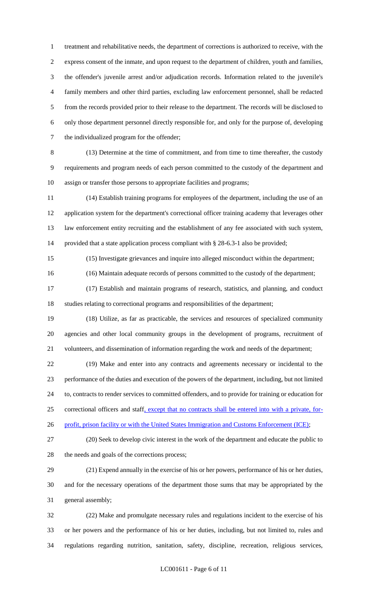treatment and rehabilitative needs, the department of corrections is authorized to receive, with the express consent of the inmate, and upon request to the department of children, youth and families, the offender's juvenile arrest and/or adjudication records. Information related to the juvenile's family members and other third parties, excluding law enforcement personnel, shall be redacted from the records provided prior to their release to the department. The records will be disclosed to only those department personnel directly responsible for, and only for the purpose of, developing the individualized program for the offender;

 (13) Determine at the time of commitment, and from time to time thereafter, the custody requirements and program needs of each person committed to the custody of the department and assign or transfer those persons to appropriate facilities and programs;

 (14) Establish training programs for employees of the department, including the use of an application system for the department's correctional officer training academy that leverages other law enforcement entity recruiting and the establishment of any fee associated with such system, provided that a state application process compliant with § 28-6.3-1 also be provided;

(15) Investigate grievances and inquire into alleged misconduct within the department;

(16) Maintain adequate records of persons committed to the custody of the department;

 (17) Establish and maintain programs of research, statistics, and planning, and conduct studies relating to correctional programs and responsibilities of the department;

 (18) Utilize, as far as practicable, the services and resources of specialized community agencies and other local community groups in the development of programs, recruitment of volunteers, and dissemination of information regarding the work and needs of the department;

 (19) Make and enter into any contracts and agreements necessary or incidental to the performance of the duties and execution of the powers of the department, including, but not limited to, contracts to render services to committed offenders, and to provide for training or education for correctional officers and staff, except that no contracts shall be entered into with a private, for-

26 profit, prison facility or with the United States Immigration and Customs Enforcement (ICE);

 (20) Seek to develop civic interest in the work of the department and educate the public to 28 the needs and goals of the corrections process;

 (21) Expend annually in the exercise of his or her powers, performance of his or her duties, and for the necessary operations of the department those sums that may be appropriated by the general assembly;

 (22) Make and promulgate necessary rules and regulations incident to the exercise of his or her powers and the performance of his or her duties, including, but not limited to, rules and regulations regarding nutrition, sanitation, safety, discipline, recreation, religious services,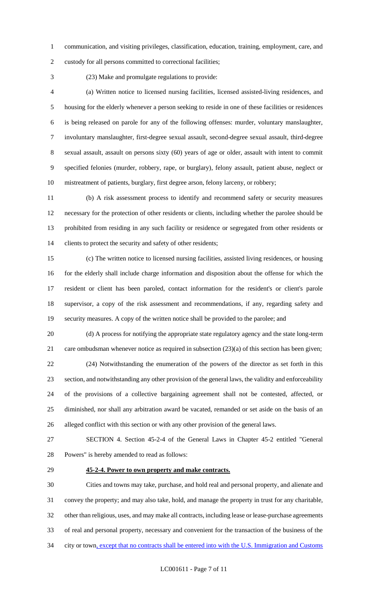communication, and visiting privileges, classification, education, training, employment, care, and

custody for all persons committed to correctional facilities;

(23) Make and promulgate regulations to provide:

 (a) Written notice to licensed nursing facilities, licensed assisted-living residences, and housing for the elderly whenever a person seeking to reside in one of these facilities or residences is being released on parole for any of the following offenses: murder, voluntary manslaughter, involuntary manslaughter, first-degree sexual assault, second-degree sexual assault, third-degree sexual assault, assault on persons sixty (60) years of age or older, assault with intent to commit specified felonies (murder, robbery, rape, or burglary), felony assault, patient abuse, neglect or mistreatment of patients, burglary, first degree arson, felony larceny, or robbery;

 (b) A risk assessment process to identify and recommend safety or security measures necessary for the protection of other residents or clients, including whether the parolee should be prohibited from residing in any such facility or residence or segregated from other residents or clients to protect the security and safety of other residents;

 (c) The written notice to licensed nursing facilities, assisted living residences, or housing for the elderly shall include charge information and disposition about the offense for which the resident or client has been paroled, contact information for the resident's or client's parole supervisor, a copy of the risk assessment and recommendations, if any, regarding safety and security measures. A copy of the written notice shall be provided to the parolee; and

 (d) A process for notifying the appropriate state regulatory agency and the state long-term care ombudsman whenever notice as required in subsection (23)(a) of this section has been given; (24) Notwithstanding the enumeration of the powers of the director as set forth in this section, and notwithstanding any other provision of the general laws, the validity and enforceability of the provisions of a collective bargaining agreement shall not be contested, affected, or diminished, nor shall any arbitration award be vacated, remanded or set aside on the basis of an alleged conflict with this section or with any other provision of the general laws.

 SECTION 4. Section 45-2-4 of the General Laws in Chapter 45-2 entitled "General Powers" is hereby amended to read as follows:

### **45-2-4. Power to own property and make contracts.**

 Cities and towns may take, purchase, and hold real and personal property, and alienate and convey the property; and may also take, hold, and manage the property in trust for any charitable, other than religious, uses, and may make all contracts, including lease or lease-purchase agreements of real and personal property, necessary and convenient for the transaction of the business of the 34 city or town, except that no contracts shall be entered into with the U.S. Immigration and Customs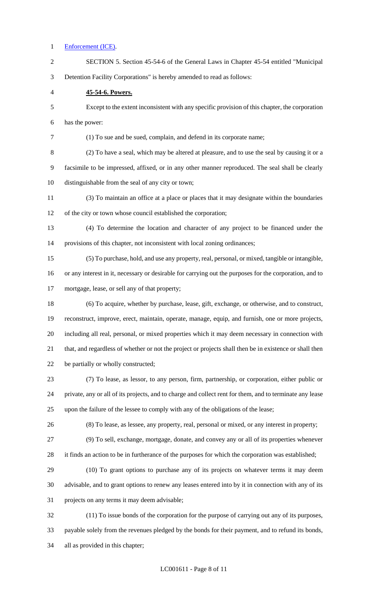#### Enforcement (ICE).

 SECTION 5. Section 45-54-6 of the General Laws in Chapter 45-54 entitled "Municipal Detention Facility Corporations" is hereby amended to read as follows: **45-54-6. Powers.** Except to the extent inconsistent with any specific provision of this chapter, the corporation has the power: (1) To sue and be sued, complain, and defend in its corporate name; (2) To have a seal, which may be altered at pleasure, and to use the seal by causing it or a facsimile to be impressed, affixed, or in any other manner reproduced. The seal shall be clearly distinguishable from the seal of any city or town; (3) To maintain an office at a place or places that it may designate within the boundaries of the city or town whose council established the corporation; (4) To determine the location and character of any project to be financed under the provisions of this chapter, not inconsistent with local zoning ordinances; (5) To purchase, hold, and use any property, real, personal, or mixed, tangible or intangible, or any interest in it, necessary or desirable for carrying out the purposes for the corporation, and to mortgage, lease, or sell any of that property; (6) To acquire, whether by purchase, lease, gift, exchange, or otherwise, and to construct, reconstruct, improve, erect, maintain, operate, manage, equip, and furnish, one or more projects, including all real, personal, or mixed properties which it may deem necessary in connection with that, and regardless of whether or not the project or projects shall then be in existence or shall then be partially or wholly constructed; (7) To lease, as lessor, to any person, firm, partnership, or corporation, either public or private, any or all of its projects, and to charge and collect rent for them, and to terminate any lease upon the failure of the lessee to comply with any of the obligations of the lease; (8) To lease, as lessee, any property, real, personal or mixed, or any interest in property; (9) To sell, exchange, mortgage, donate, and convey any or all of its properties whenever it finds an action to be in furtherance of the purposes for which the corporation was established; (10) To grant options to purchase any of its projects on whatever terms it may deem advisable, and to grant options to renew any leases entered into by it in connection with any of its projects on any terms it may deem advisable; (11) To issue bonds of the corporation for the purpose of carrying out any of its purposes,

payable solely from the revenues pledged by the bonds for their payment, and to refund its bonds,

all as provided in this chapter;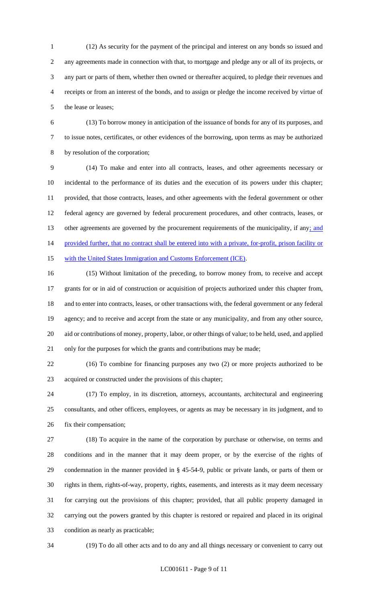(12) As security for the payment of the principal and interest on any bonds so issued and any agreements made in connection with that, to mortgage and pledge any or all of its projects, or any part or parts of them, whether then owned or thereafter acquired, to pledge their revenues and receipts or from an interest of the bonds, and to assign or pledge the income received by virtue of the lease or leases;

 (13) To borrow money in anticipation of the issuance of bonds for any of its purposes, and to issue notes, certificates, or other evidences of the borrowing, upon terms as may be authorized by resolution of the corporation;

 (14) To make and enter into all contracts, leases, and other agreements necessary or incidental to the performance of its duties and the execution of its powers under this chapter; provided, that those contracts, leases, and other agreements with the federal government or other federal agency are governed by federal procurement procedures, and other contracts, leases, or 13 other agreements are governed by the procurement requirements of the municipality, if any; and 14 provided further, that no contract shall be entered into with a private, for-profit, prison facility or 15 with the United States Immigration and Customs Enforcement (ICE).

 (15) Without limitation of the preceding, to borrow money from, to receive and accept grants for or in aid of construction or acquisition of projects authorized under this chapter from, and to enter into contracts, leases, or other transactions with, the federal government or any federal agency; and to receive and accept from the state or any municipality, and from any other source, aid or contributions of money, property, labor, or other things of value; to be held, used, and applied only for the purposes for which the grants and contributions may be made;

 (16) To combine for financing purposes any two (2) or more projects authorized to be acquired or constructed under the provisions of this chapter;

 (17) To employ, in its discretion, attorneys, accountants, architectural and engineering consultants, and other officers, employees, or agents as may be necessary in its judgment, and to fix their compensation;

 (18) To acquire in the name of the corporation by purchase or otherwise, on terms and conditions and in the manner that it may deem proper, or by the exercise of the rights of condemnation in the manner provided in § 45-54-9, public or private lands, or parts of them or rights in them, rights-of-way, property, rights, easements, and interests as it may deem necessary for carrying out the provisions of this chapter; provided, that all public property damaged in carrying out the powers granted by this chapter is restored or repaired and placed in its original condition as nearly as practicable;

(19) To do all other acts and to do any and all things necessary or convenient to carry out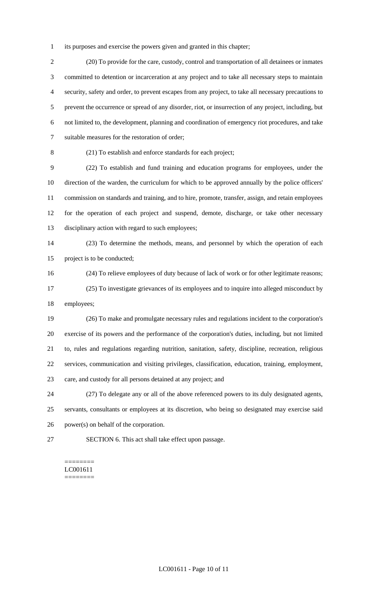its purposes and exercise the powers given and granted in this chapter;

 (20) To provide for the care, custody, control and transportation of all detainees or inmates committed to detention or incarceration at any project and to take all necessary steps to maintain security, safety and order, to prevent escapes from any project, to take all necessary precautions to prevent the occurrence or spread of any disorder, riot, or insurrection of any project, including, but not limited to, the development, planning and coordination of emergency riot procedures, and take suitable measures for the restoration of order;

(21) To establish and enforce standards for each project;

 (22) To establish and fund training and education programs for employees, under the direction of the warden, the curriculum for which to be approved annually by the police officers' commission on standards and training, and to hire, promote, transfer, assign, and retain employees for the operation of each project and suspend, demote, discharge, or take other necessary disciplinary action with regard to such employees;

 (23) To determine the methods, means, and personnel by which the operation of each project is to be conducted;

(24) To relieve employees of duty because of lack of work or for other legitimate reasons;

 (25) To investigate grievances of its employees and to inquire into alleged misconduct by employees;

 (26) To make and promulgate necessary rules and regulations incident to the corporation's exercise of its powers and the performance of the corporation's duties, including, but not limited to, rules and regulations regarding nutrition, sanitation, safety, discipline, recreation, religious services, communication and visiting privileges, classification, education, training, employment, care, and custody for all persons detained at any project; and

 (27) To delegate any or all of the above referenced powers to its duly designated agents, servants, consultants or employees at its discretion, who being so designated may exercise said power(s) on behalf of the corporation.

SECTION 6. This act shall take effect upon passage.

#### ======== LC001611 ========